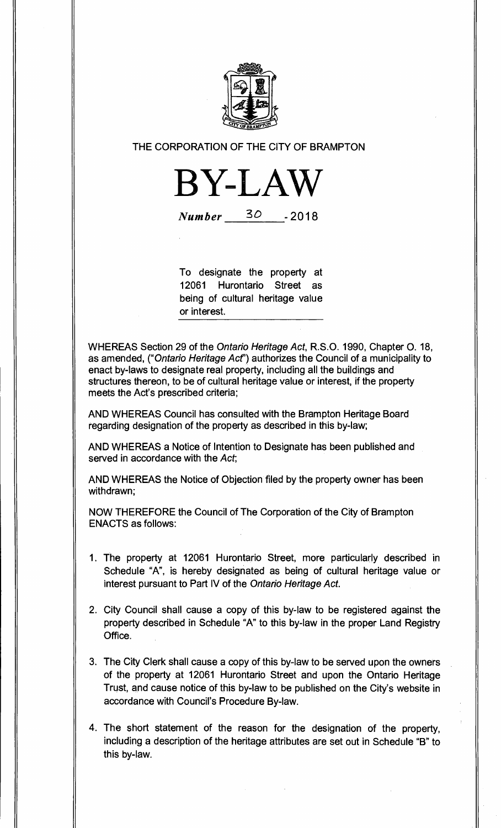

**THE CORPORATION OF THE CITY OF BRAMPTON** 



Number 30 **-2018** 

**To designate the property at 12061 Hurontario Street as being of cultural heritage value or interest.** 

**WHEREAS Section 29 of the** Ontario Heritage Act, **R.S.O. 1990, Chapter 0. 18, as amended,** ("Ontario Heritage Act') **authorizes the Council of a municipality to enact by-laws to designate real property, including all the buildings and structures thereon, to be of cultural heritage value or interest, if the property meets the Act's prescribed criteria;** 

**AND WHEREAS Council has consulted with the Brampton Heritage Board regarding designation of the property as described in this by-law;** 

**AND WHEREAS a Notice of Intention to Designate has been published and served in accordance with the** Act;

**AND WHEREAS the Notice of Objection filed by the property owner has been withdrawn;** 

**NOW THEREFORE the Council of The Corporation of the City of Brampton ENACTS as follows:** 

- **1. The property at 12061 Hurontario Street, more particularly described in Schedule "A", is hereby designated as being of cultural heritage value or interest pursuant to Part IV of the** Ontario Heritage Act.
- **2. City Council shall cause a copy of this by-law to be registered against the property described in Schedule "A" to this by-law in the proper Land Registry Office.**
- **3. The City Clerk shall cause a copy of this by-law to be served upon the owners of the property at 12061 Hurontario Street and upon the Ontario Heritage Trust, and cause notice of this by-law to be published on the City's website in accordance with Council's Procedure By-law.**
- **4. The short statement of the reason for the designation of the property, including a description of the heritage attributes are set out in Schedule "B" to this by-law.**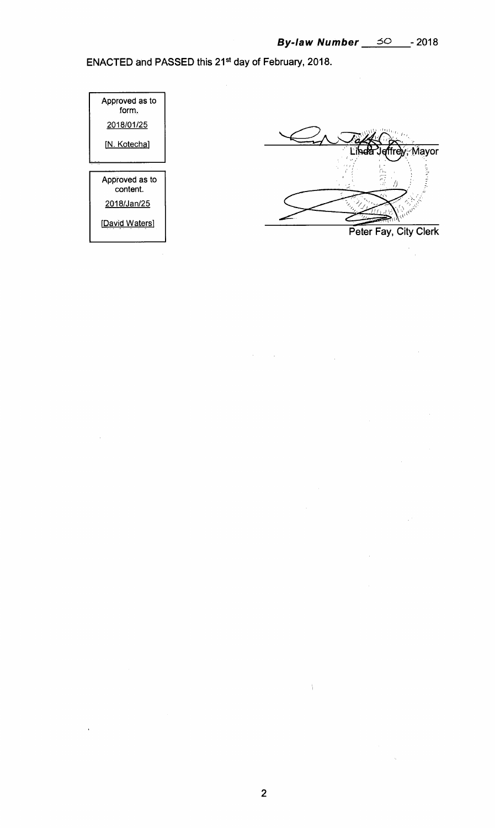**ENACTED and PASSED this 21st day of February, 2018.** 



**2** 

Â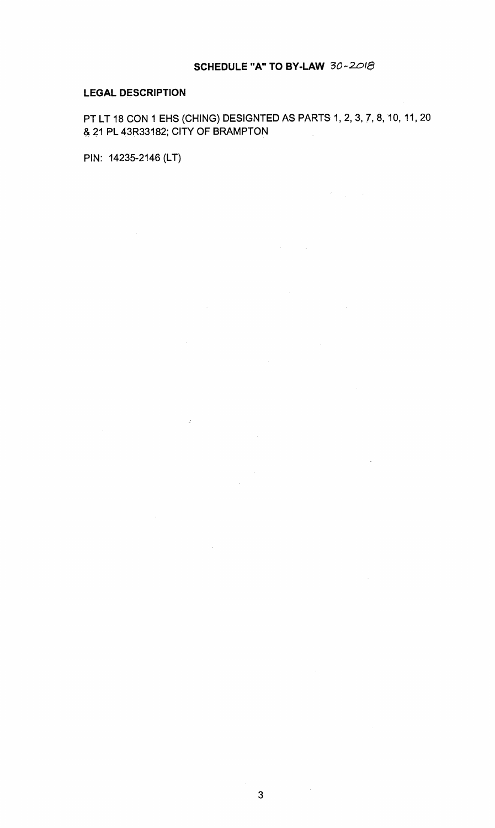## **SCHEDULE "A" TO BY-LAW 30-2018**

 $\mathcal{L}^{\text{max}}_{\text{max}}$  and  $\mathcal{L}^{\text{max}}_{\text{max}}$ 

 $\sim 10^{-1}$ 

 $\sim$   $\sim$ 

 $\label{eq:2} \frac{1}{2} \int_{\mathbb{R}^3} \frac{d^2y}{\sqrt{2\pi}} \, \frac{dy}{\sqrt{2\pi}} \, \frac{dy}{\sqrt{2\pi}} \, \frac{dy}{\sqrt{2\pi}} \, \frac{dy}{\sqrt{2\pi}} \, \frac{dy}{\sqrt{2\pi}} \, .$ 

## **LEGAL DESCRIPTION**

PT LT 18 CON 1 EHS (CHING) DESIGNTED AS PARTS 1, 2, 3, 7, 8, 10, 11, 20 & 21 PL 43R33182; CITY OF BRAMPTON

 $\sim 10^7$ 

 $\label{eq:2.1} \mathcal{L}(\mathcal{L}^{\text{max}}_{\text{max}}(\mathcal{L}^{\text{max}}_{\text{max}}(\mathcal{L}^{\text{max}}_{\text{max}}(\mathcal{L}^{\text{max}}_{\text{max}}(\mathcal{L}^{\text{max}}_{\text{max}}(\mathcal{L}^{\text{max}}_{\text{max}}(\mathcal{L}^{\text{max}}_{\text{max}}(\mathcal{L}^{\text{max}}_{\text{max}}(\mathcal{L}^{\text{max}}_{\text{max}}(\mathcal{L}^{\text{max}}_{\text{max}}(\mathcal{L}^{\text{max}}_{\text{max}}(\mathcal{L}^$ 

 $\mathcal{L}^{\text{max}}_{\text{max}}$ 

PIN: 14235-2146 (LT)

 $\frac{1}{2}$ 

 $\sim 10^{-1}$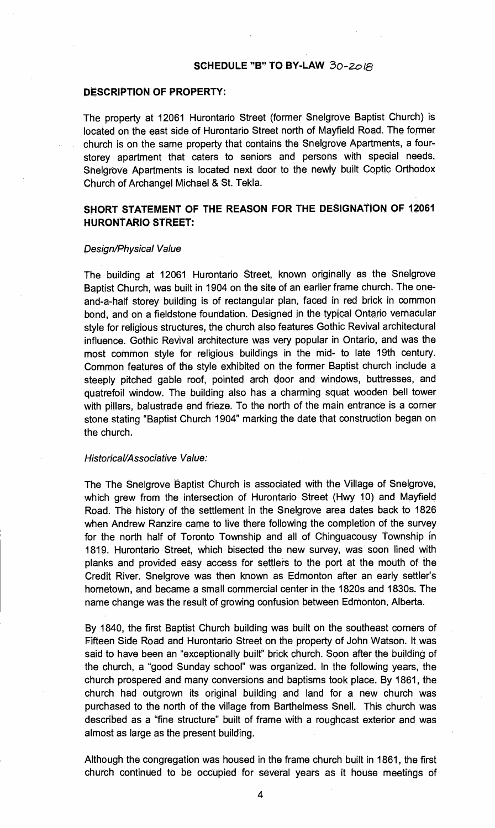#### **SCHEDULE "6" TO BY-LAW** 30-zo1e

#### **DESCRIPTION OF PROPERTY:**

The property at 12061 Hurontario Street (former Snelgrove Baptist Church) is located on the east side of Hurontario Street north of Mayfield Road. The former church is on the same property that contains the Snelgrove Apartments, a fourstorey apartment that caters to seniors and persons with special needs. Snelgrove Apartments is located next door to the newly built Coptic Orthodox Church of Archangel Michael & St. Tekla.

## **SHORT STATEMENT OF THE REASON FOR THE DESIGNATION OF 12061 HURONTARIO STREET:**

#### Design/Physical Value

The building at 12061 Hurontario Street, known originally as the Snelgrove Baptist Church, was built in 1904 on the site of an earlier frame church. The oneand-a-half storey building is of rectangular plan, faced in red brick in common bond, and on a fieldstone foundation. Designed in the typical Ontario vernacular style for religious structures, the church also features Gothic Revival architectural influence. Gothic Revival architecture was very popular in Ontario, and was the most common style for religious buildings in the mid- to late 19th century. Common features of the style exhibited on the former Baptist church include a steeply pitched gable roof, pointed arch door and windows, buttresses, and quatrefoil window. The building also has a charming squat wooden bell tower with pillars, balustrade and frieze. To the north of the main entrance is a corner stone stating "Baptist Church 1904" marking the date that construction began on the church.

#### Historical/Associative Value:

The The Snelgrove Baptist Church is associated with the Village of Snelgrove, which grew from the intersection of Hurontario Street (Hwy 10) and Mayfield Road. The history of the settlement in the Snelgrove area dates back to 1826 when Andrew Ranzire came to live there following the completion of the survey for the north half of Toronto Township and all of Chinguacousy Township in 1819. Hurontario Street, which bisected the new survey, was soon lined with planks and provided easy access for settlers to the port at the mouth of the Credit River. Snelgrove was then known as Edmonton after an early settler's hometown, and became a small commercial center in the 1820s and 1830s. The name change was the result of growing confusion between Edmonton, Alberta.

By 1840, the first Baptist Church building was built on the southeast corners of Fifteen Side Road and Hurontario Street on the property of John Watson. It was said to have been an "exceptionally built" brick church. Soon after the building of the church, a "good Sunday school" was organized. In the following years, the church prospered and many conversions and baptisms took place. By 1861, the church had outgrown its original building and land for a new church was purchased to the north of the village from Barthelmess Snell. This church was described as a "fine structure" built of frame with a roughcast exterior and was almost as large as the present building.

Although the congregation was housed in the frame church built in 1861, the first church continued to be occupied for several years as it house meetings of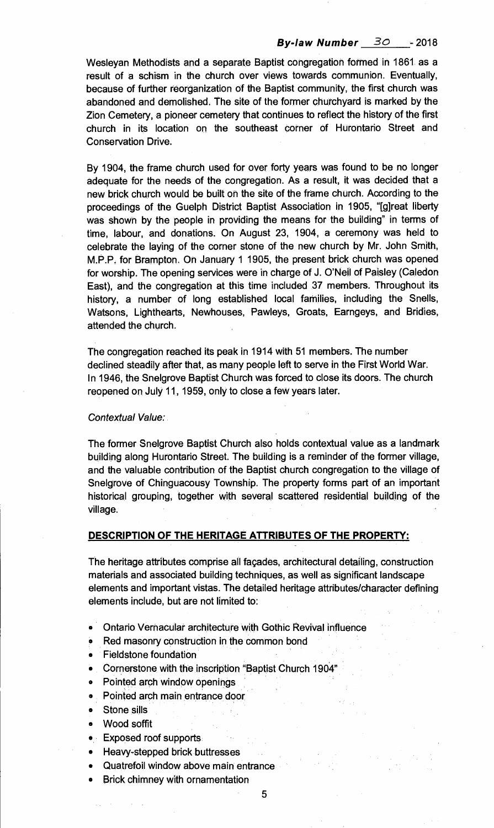# **By-law Number 30 -** <sup>2018</sup>

Wesleyan Methodists and a separate Baptist congregation formed in 1861 as a result of a schism in the church over views towards communion. Eventually, because of further reorganization of the Baptist community, the first church was abandoned and demolished. The site of the former churchyard is marked by the Zion Cemetery, a pioneer cemetery that continues to reflect the history of the first church in its location on the southeast corner of Hurontario Street and Conservation Drive.

By 1904, the frame church used for over forty years was found to be no longer adequate for the needs of the congregation. As a result, it was decided that a new brick church would be built on the site of the frame church. According to the proceedings of the Guelph District Baptist Association in 1905, "[g]reat liberty was shown by the people in providing the means for the building" in terms of time, labour, and donations. On August 23, 1904, a ceremony was held to celebrate the laying of the corner stone of the new church by Mr. John Smith, M.P.P. for Brampton. On January 1 1905, the present brick church was opened for worship. The opening services were in charge of J. O'Neil of Paisley (Caledon East), and the congregation at this time included 37 members. Throughout its history, a number of long established local families, including the Snells, Watsons, Lighthearts, Newhouses, Pawleys, Groats, Earngeys, and Bridies, attended the church.

The congregation reached its peak in 1914 with 51 members. The number declined steadily after that, as many people left to serve in the First World War. In 1946, the Snelgrove Baptist Church was forced to close its doors. The church reopened on July 11, 1959, only to close a few years later.

#### Contextual Value:

The former Snelgrove Baptist Church also holds contextual value as a landmark building along Hurontario Street. The building is a reminder of the former village, and the valuable contribution of the Baptist church congregation to the village of Snelgrove of Chinguacousy Township. The property forms part of an important historical grouping, together with several scattered residential building of the village.

#### **DESCRIPTION OF THE HERITAGE ATTRIBUTES OF THE PROPERTY:**

The heritage attributes comprise all fagades, architectural detailing, construction materials and associated building techniques, as well as significant landscape elements and important vistas. The detailed heritage attributes/character defining elements include, but are not limited to:

- Ontario Vernacular architecture with Gothic Revival influence
- Red masonry construction in the common bond  $\bullet$
- Fieldstone foundation
- Cornerstone with the inscription "Baptist Church 1904"
- Pointed arch window openings
- Pointed arch main entrance door
- Stone sills
- Wood soffit
- Exposed roof supports
- Heavy-stepped brick buttresses
- Quatrefoil window above main entrance
- **Brick** chimney with ornamentation